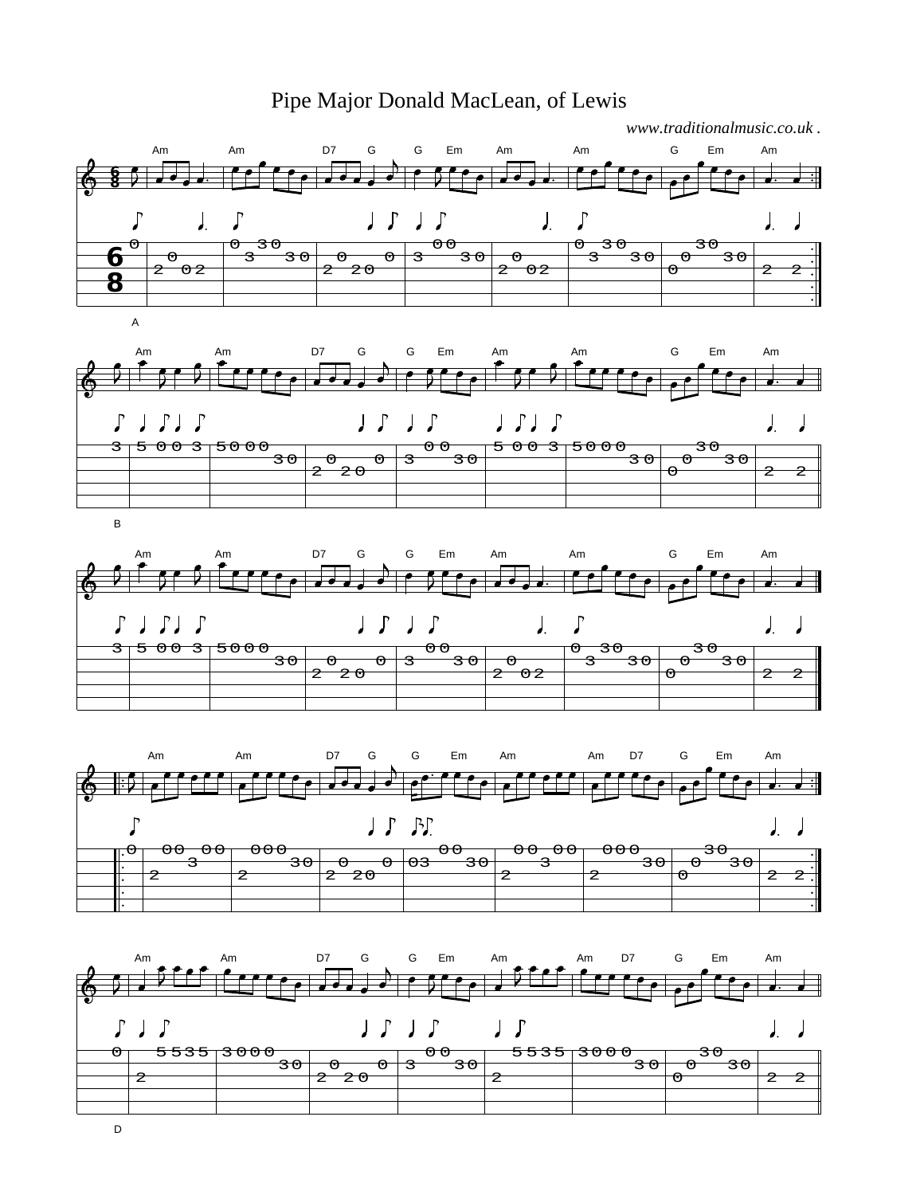## Pipe Major Donald MacLean, of Lewis





Am Am D7 G G Em Am Am G Em Am  $J J J J$  $\int$  $\overline{ }$  $\int$  $\overline{I}$  $\int_{\mathbb{R}}$  $\Gamma$  $\sqrt{2}$  $\int$  $\sigma$   $\theta$ 3 0 २ त  $\theta$ 3 0  $\sigma$   $\overline{20}$   $\overline{0}2$  $2^{\sim}2$